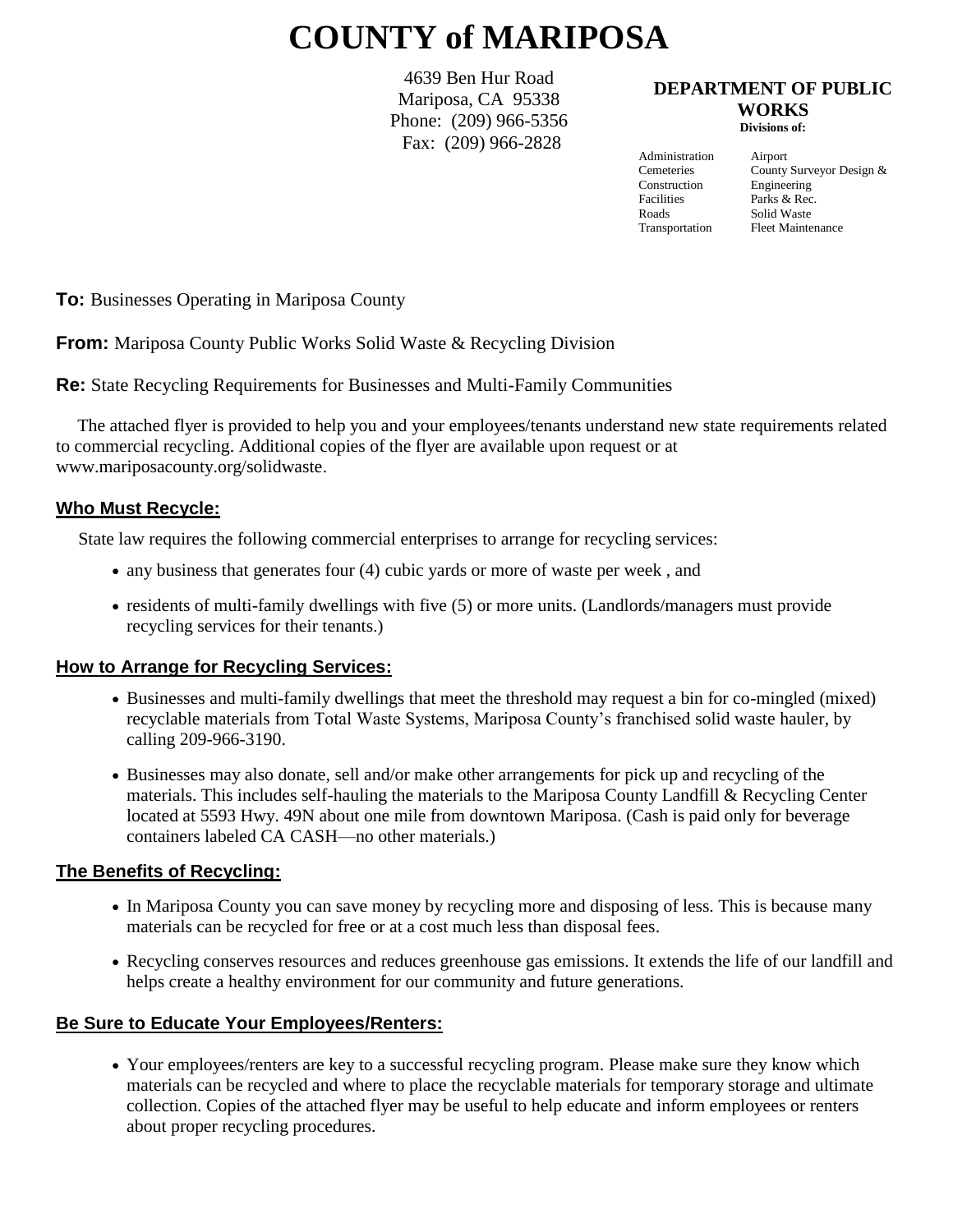# **COUNTY of MARIPOSA**

4639 Ben Hur Road Mariposa, CA 95338 Phone: (209) 966-5356 Fax: (209) 966-2828

#### **DEPARTMENT OF PUBLIC WORKS Divisions of:**

Administration Airport Construction Engineering<br>Facilities Parks & Rec Roads Solid Waste

Cemeteries County Surveyor Design & Parks & Rec. Transportation Fleet Maintenance

**To:** Businesses Operating in Mariposa County

**From:** Mariposa County Public Works Solid Waste & Recycling Division

**Re:** State Recycling Requirements for Businesses and Multi-Family Communities

 The attached flyer is provided to help you and your employees/tenants understand new state requirements related to commercial recycling. Additional copies of the flyer are available upon request or at [www.mariposacounty.org/solidwaste](http://www.mariposacounty.org/solidwaste).

#### **Who Must Recycle:**

State law requires the following commercial enterprises to arrange for recycling services:

- any business that generates four (4) cubic yards or more of waste per week, and
- residents of multi-family dwellings with five (5) or more units. (Landlords/managers must provide recycling services for their tenants.)

## **How to Arrange for Recycling Services:**

- Businesses and multi-family dwellings that meet the threshold may request a bin for co-mingled (mixed) recyclable materials from Total Waste Systems, Mariposa County's franchised solid waste hauler, by calling 209-966-3190.
- Businesses may also donate, sell and/or make other arrangements for pick up and recycling of the materials. This includes self-hauling the materials to the Mariposa County Landfill & Recycling Center located at 5593 Hwy. 49N about one mile from downtown Mariposa. (Cash is paid only for beverage containers labeled CA CASH—no other materials.)

#### **The Benefits of Recycling:**

- In Mariposa County you can save money by recycling more and disposing of less. This is because many materials can be recycled for free or at a cost much less than disposal fees.
- Recycling conserves resources and reduces greenhouse gas emissions. It extends the life of our landfill and helps create a healthy environment for our community and future generations.

## **Be Sure to Educate Your Employees/Renters:**

 Your employees/renters are key to a successful recycling program. Please make sure they know which materials can be recycled and where to place the recyclable materials for temporary storage and ultimate collection. Copies of the attached flyer may be useful to help educate and inform employees or renters about proper recycling procedures.